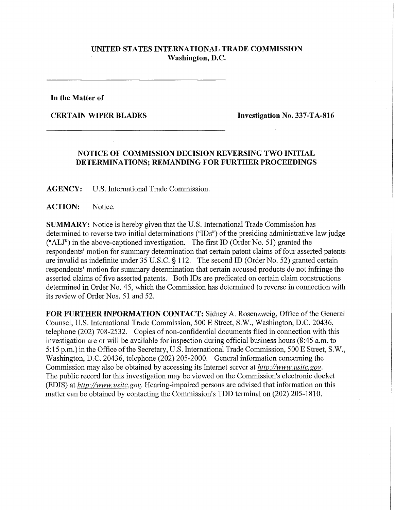## **UNITED STATES INTERNATIONAL TRADE COMMISSION Washington, D.C.**

**In the Matter of** 

**CERTAIN WIPER BLADES Investigation No. 337-TA-816** 

## **NOTICE OF COMMISSION DECISION REVERSING TWO INITIAL DETERMINATIONS; REMANDING FOR FURTHER PROCEEDINGS**

**AGENCY:** U.S. International Trade Commission.

**ACTION:** Notice.

**SUMMARY:** Notice is hereby given that the U.S. International Trade Commission has determined to reverse two initial determinations ("IDs") of the presiding administrative law judge ("ALJ") in the above-captioned investigation. The first ID (Order No. 51) granted the respondents' motion for summary determination that certain patent claims of four asserted patents are invalid as indefinite under 35 U.S.C. § 112. The second ID (Order No. 52) granted certain respondents' motion for summary determination that certain accused products do not infringe the asserted claims of five asserted patents. Both IDs are predicated on certain claim constructions determined in Order No. 45, which the Commission has determined to reverse in connection with its review of Order Nos. 51 and 52.

**FOR FURTHER INFORMATION CONTACT:** Sidney A. Rosenzweig, Office of the General Counsel, U.S. International Trade Commission, 500 E Street, S.W., Washington, D.C. 20436, telephone (202) 708-2532. Copies of non-confidential documents filed in connection with this investigation are or will be available for inspection during official business hours (8:45 a.m. to 5:15 p.m.) in the Office of the Secretary, U.S. International Trade Commission, 500 E Street, S.W., Washington, D.C. 20436, telephone (202) 205-2000. General information concerning the Commission may also be obtained by accessing its Internet server at *http://www. mite, gov.*  The public record for this investigation may be viewed on the Commission's electronic docket (EDIS) at *hftp://www, usitc.gov.* Hearing-impaired persons are advised that information on this matter can be obtained by contacting the Commission's TDD terminal on (202) 205-1810.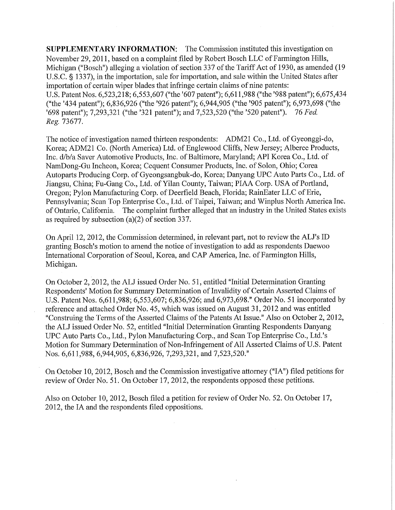**SUPPLEMENTARY INFORMATION:** The Commission instituted this investigation on November 29, 2011, based on a complaint filed by Robert Bosch LLC of Farmington Hills, Michigan ("Bosch") alleging a violation of section 337 of the Tariff Act of 1930, as amended (19 U.S.C. § 1337), in the importation, sale for importation, and sale within the United States after importation of certain wiper blades that infringe certain claims of nine patents: U.S. Patent Nos. 6,523,218; 6,553,607 ("the '607 patent"); 6,611,988 ("the '988 patent"); 6,675,434 ("the '434 patent"); 6,836,926 ("the '926 patent"); 6,944,905 ("the '905 patent"); 6,973,698 ("the '698 patent"); 7,293,321 ("the '321 patent"); and 7,523,520 ("the '520 patent"). 76 *Fed. Reg. 13611.* 

The notice of investigation named thirteen respondents: ADM21 Co., Ltd. of Gyeonggi-do, Korea; ADM21 Co. (North America) Ltd. of Englewood Cliffs, New Jersey; Alberee Products, Inc. d/b/a Saver Automotive Products, Inc. of Baltimore, Maryland; API Korea Co., Ltd. of NamDong-Gu Incheon, Korea; Cequent Consumer Products, Inc. of Solon, Ohio; Corea Autoparts Producing Corp. of Gyeongsangbuk-do, Korea; Danyang UPC Auto Parts Co., Ltd. of Jiangsu, China; Fu-Gang Co., Ltd. of Yilan County, Taiwan; PIAA Corp. USA of Portland, Oregon; Pylon Manufacturing Corp. of Deerfield Beach, Florida; RainEater LLC of Erie, Pennsylvania; Scan Top Enterprise Co., Ltd. of Taipei, Taiwan; and Winplus North America Inc. of Ontario, California. The complaint further alleged that an industry in the United States exists as required by subsection (a)(2) of section 337.

On April 12, 2012, the Commission determined, in relevant part, not to review the ALJ's ID granting Bosch's motion to amend the notice of investigation to add as respondents Daewoo International Corporation of Seoul, Korea, and CAP America, Inc. of Farmington Hills, Michigan.

On October 2, 2012, the ALJ issued Order No. 51, entitled "Initial Determination Granting Respondents' Motion for Summary Determination of Invalidity of Certain Asserted Claims of U.S. Patent Nos. 6,611,988; 6,553,607; 6,836,926; and 6,973,698." Order No. 51 incorporated by reference and attached Order No. 45, which was issued on August 31, 2012 and was entitled "Construing the Terms of the Asserted Claims of the Patents At Issue." Also on October 2, 2012, the ALJ issued Order No. 52, entitled "Initial Determination Granting Respondents Danyang UPC Auto Parts Co., Ltd., Pylon Manufacturing Corp., and Scan Top Enterprise Co., Ltd.'s Motion for Summary Determination of Non-Infringement of All Asserted Claims of U.S. Patent Nos. 6,611,988, 6,944,905, 6,836,926, 7,293,321, and 7,523,520."

On October 10, 2012, Bosch and the Commission investigative attorney ("IA") filed petitions for review of Order No. 51. On October 17,2012, the respondents opposed these petitions.

Also on October 10, 2012, Bosch filed a petition for review of Order No. 52. On October 17, 2012, the IA and the respondents filed oppositions.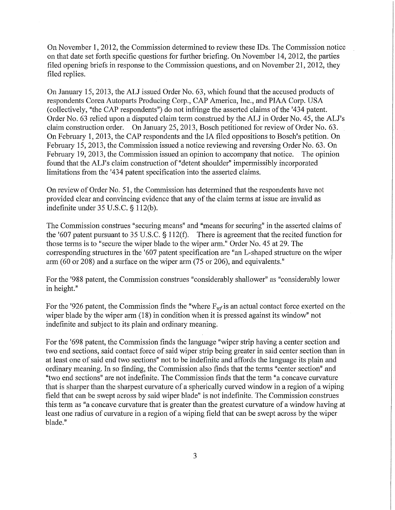On November 1, 2012, the Commission determined to review these IDs. The Commission notice on that date set forth specific questions for further briefing. On November 14, 2012, the parties filed opening briefs in response to the Commission questions, and on November 21, 2012, they filed replies.

On January 15, 2013, the ALJ issued Order No. 63, which found that the accused products of respondents Corea Autoparts Producing Corp., CAP America, Inc., and PIAA Corp. USA (collectively, "the CAP respondents") do not infringe the asserted claims of the '434 patent. Order No. 63 relied upon a disputed claim term construed by the ALJ in Order No. 45, the ALJ's claim construction order. On January 25, 2013, Bosch petitioned for review of Order No. 63. On February 1, 2013, the CAP respondents and the IA filed oppositions to Bosch's petition. On February 15, 2013, the Commission issued a notice reviewing and reversing Order No. 63. On February 19, 2013, the Commission issued an opinion to accompany that notice. The opinion found that the ALJ's claim construction of "detent shoulder" impermissibly incorporated limitations from the '434 patent specification into the asserted claims.

On review of Order No. 51, the Commission has determined that the respondents have not provided clear and convincing evidence that any of the claim terms at issue are invalid as indefinite under 35 U.S.C. § 112(b).

The Commission construes "securing means" and "means for securing" in the asserted claims of the '607 patent pursuant to 35 U.S.C. § 112(f). There is agreement that the recited function for those terms is to "secure the wiper blade to the wiper arm." Order No. 45 at 29. The corresponding structures in the '607 patent specification are "an L-shaped structure on the wiper arm (60 or 208) and a surface on the wiper arm (75 or 206), and equivalents."

For the '988 patent, the Commission construes "considerably shallower" as "considerably lower in height."

For the '926 patent, the Commission finds the "where  $F_{wf}$  is an actual contact force exerted on the wiper blade by the wiper arm (18) in condition when it is pressed against its window" not indefinite and subject to its plain and ordinary meaning.

For the '698 patent, the Commission finds the language "wiper strip having a center section and two end sections, said contact force of said wiper strip being greater in said center section than in at least one of said end two sections" not to be indefinite and affords the language its plain and ordinary meaning. In so finding, the Commission also finds that the terms "center section" and "two end sections" are not indefinite. The Commission finds that the term "a concave curvature that is sharper than the sharpest curvature of a spherically curved window in a region of a wiping field that can be swept across by said wiper blade" is not indefinite. The Commission construes this term as "a concave curvature that is greater than the greatest curvature of a window having at least one radius of curvature in a region of a wiping field that can be swept across by the wiper blade."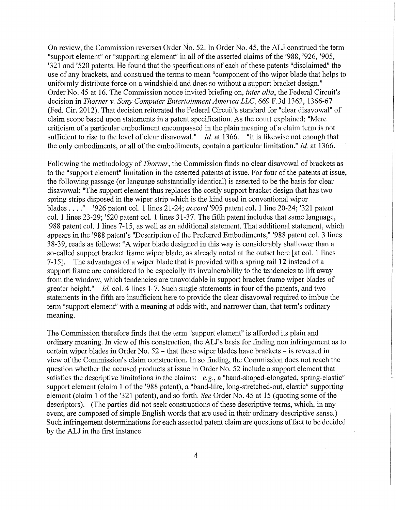On review, the Commission reverses Order No. 52. In Order No. 45, the ALJ construed the term "support element" or "supporting element" in all of the asserted claims of the '988, '926, '905, '321 and '520 patents. He found that the specifications of each of these patents "disclaimed" the use of any brackets, and construed the terms to mean "component of the wiper blade that helps to uniformly distribute force on a windshield and does so without a support bracket design." Order No. 45 at 16. The Commission notice invited briefing on, *inter alia,* the Federal Circuit's decision in *Thorner* v. *Sony Computer Entertainment America LLC,* 669 F.3d 1362, 1366-67 (Fed. Cir. 2012). That decision reiterated the Federal Circuit's standard for "clear disavowal" of claim scope based upon statements in a patent specification. As the court explained: "Mere criticism of a particular embodiment encompassed in the plain meaning of a claim term is not sufficient to rise to the level of clear disavowal." *Id.* at 1366. "It is likewise not enough that the only embodiments, or all of the embodiments, contain a particular limitation." *Id.* at 1366.

Following the methodology of *Thorner,* the Commission finds no clear disavowal of brackets as to the "support element" limitation in the asserted patents at issue. For four of the patents at issue, the following passage (or language substantially identical) is asserted to be the basis for clear disavowal: "The support element thus replaces the costly support bracket design that has two spring strips disposed in the wiper strip which is the kind used in conventional wiper blades . . . ." '926 patent col. 1 lines 21-24; *accord* '905 patent col. 1 line 20-24; '321 patent col. 1 lines 23-29; '520 patent col. 1 lines 31-37. The fifth patent includes that same language, '988 patent col. 1 lines 7-15, as well as an additional statement. That additional statement, which appears in the '988 patent's "Description of the Preferred Embodiments," '988 patent col. 3 lines 38-39, reads as follows: "A wiper blade designed in this way is considerably shallower than a so-called support bracket frame wiper blade, as already noted at the outset here [at col. 1 lines 7-15]. The advantages of a wiper blade that is provided with a spring rail **12** instead of a support frame are considered to be especially its invulnerability to the tendencies to lift away from the window, which tendencies are unavoidable in support bracket frame wiper blades of greater height." *Id.* col. 4 lines 1-7. Such single statements in four of the patents, and two statements in the fifth are insufficient here to provide the clear disavowal required to imbue the term "support element" with a meaning at odds with, and narrower than, that term's ordinary meaning.

The Commission therefore finds that the term "support element" is afforded its plain and ordinary meaning. In view of this construction, the ALJ's basis for finding non infringement as to certain wiper blades in Order No. 52 - that these wiper blades have brackets - is reversed in view of the Commission's claim construction. In so finding, the Commission does not reach the question whether the accused products at issue in Order No. 52 include a support element that satisfies the descriptive limitations in the claims: *e.g.,* a "band-shaped-elongated, spring-elastic" support element (claim 1 of the '988 patent), a "band-like, long-stretched-out, elastic" supporting element (claim 1 of the '321 patent), and so forth. *See* Order No. 45 at 15 (quoting some of the descriptors). (The parties did not seek constructions of these descriptive terms, which, in any event, are composed of simple English words that are used in their ordinary descriptive sense.) Such infringement determinations for each asserted patent claim are questions of fact to be decided by the ALJ in the first instance.